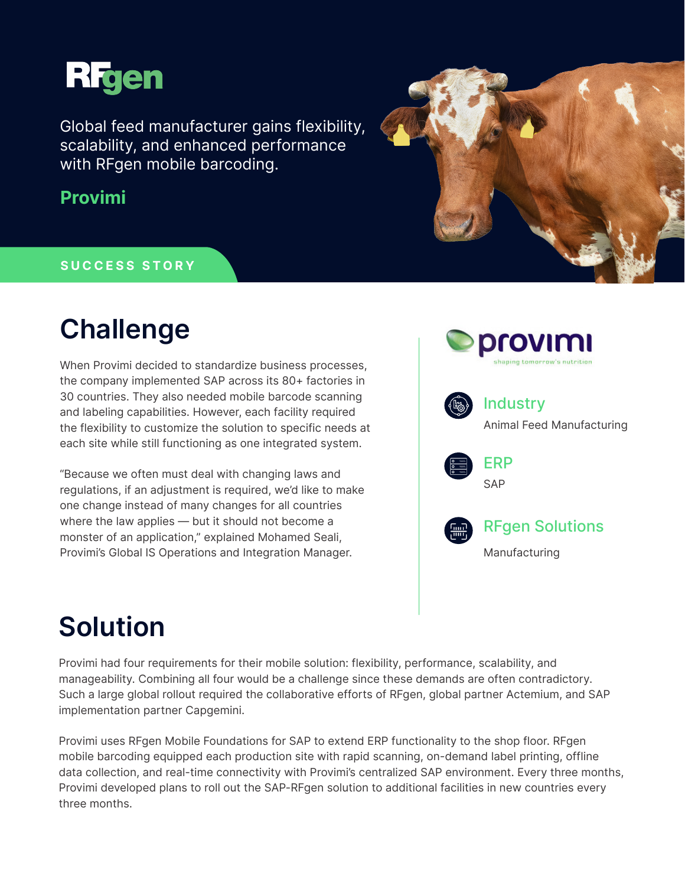

Global feed manufacturer gains flexibility, scalability, and enhanced performance with RFgen mobile barcoding.

### **Provimi**

#### **SUCCESS STORY**

## **Challenge**

When Provimi decided to standardize business processes, the company implemented SAP across its 80+ factories in 30 countries. They also needed mobile barcode scanning and labeling capabilities. However, each facility required the flexibility to customize the solution to specific needs at each site while still functioning as one integrated system.

"Because we often must deal with changing laws and regulations, if an adjustment is required, we'd like to make one change instead of many changes for all countries where the law applies — but it should not become a monster of an application," explained Mohamed Seali, Provimi's Global IS Operations and Integration Manager.





# **Solution**

Provimi had four requirements for their mobile solution: flexibility, performance, scalability, and manageability. Combining all four would be a challenge since these demands are often contradictory. Such a large global rollout required the collaborative efforts of RFgen, global partner Actemium, and SAP implementation partner Capgemini.

Provimi uses RFgen Mobile Foundations for SAP to extend ERP functionality to the shop floor. RFgen mobile barcoding equipped each production site with rapid scanning, on-demand label printing, offline data collection, and real-time connectivity with Provimi's centralized SAP environment. Every three months, Provimi developed plans to roll out the SAP-RFgen solution to additional facilities in new countries every three months.